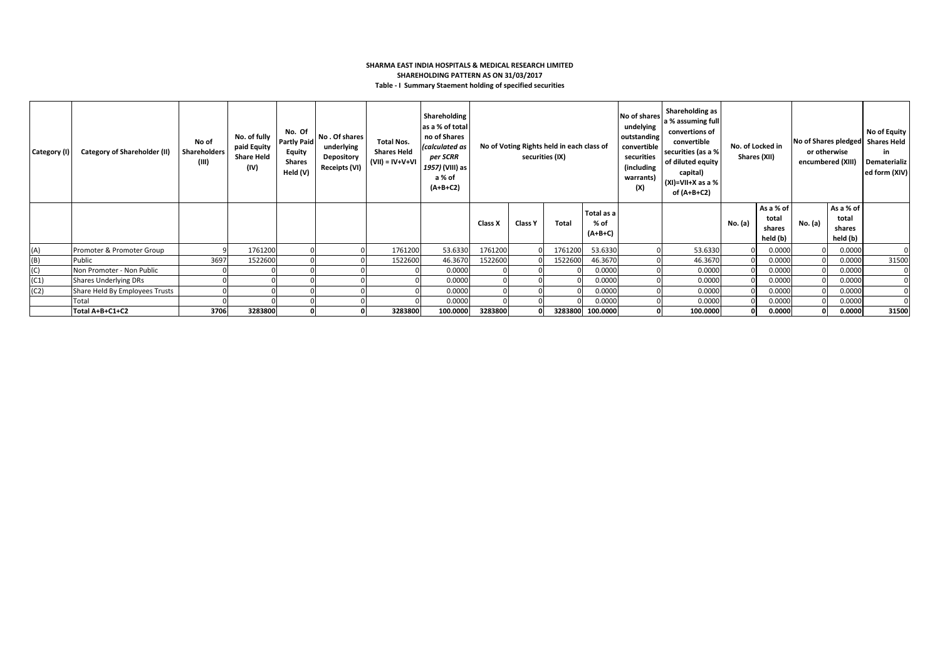### **SHARMA EAST INDIA HOSPITALS & MEDICAL RESEARCH LIMITED SHAREHOLDING PATTERN AS ON 31/03/2017 Table - I Summary Staement holding of specified securities**

| Category (I) | <b>Category of Shareholder (II)</b> | No of<br>Shareholders<br>(III) | No. of fully<br>paid Equity<br><b>Share Held</b><br>(IV) | No. Of<br><b>Partly Paid</b><br><b>Equity</b><br><b>Shares</b><br>Held (V) | No. Of shares<br>underlying<br>Depository<br>Receipts (VI) | <b>Total Nos.</b><br><b>Shares Held</b><br>$(VII) = IV + V + VI$ | Shareholding<br>as a % of total<br>no of Shares<br>(calculated as<br>per SCRR<br>1957) (VIII) as<br>a % of<br>$(A+B+C2)$ | No of Voting Rights held in each class of<br>securities (IX) |         |         | No of shares<br>undelying<br>outstanding<br>convertible<br>securities<br>(including<br>warrants)<br>(X) | Shareholding as<br>a % assuming full<br>convertions of<br>convertible<br>securities (as a %<br>of diluted equity<br>capital)<br>$(XI)=VII+X$ as a %<br>of (A+B+C2) |          | No. of Locked in<br>Shares (XII) | No of Shares pledged Shares Held<br>or otherwise<br>encumbered (XIII) |         | No of Equity<br>in.<br>Dematerializ<br>ed form (XIV) |       |
|--------------|-------------------------------------|--------------------------------|----------------------------------------------------------|----------------------------------------------------------------------------|------------------------------------------------------------|------------------------------------------------------------------|--------------------------------------------------------------------------------------------------------------------------|--------------------------------------------------------------|---------|---------|---------------------------------------------------------------------------------------------------------|--------------------------------------------------------------------------------------------------------------------------------------------------------------------|----------|----------------------------------|-----------------------------------------------------------------------|---------|------------------------------------------------------|-------|
|              |                                     |                                |                                                          |                                                                            |                                                            |                                                                  |                                                                                                                          | Class X                                                      | Class Y | Total   | Total as a<br>% of<br>$(A+B+C)$                                                                         |                                                                                                                                                                    |          | No. (a)                          | As a % of<br>total<br>shares<br>held (b)                              | No. (a) | As a % of<br>total<br>shares<br>held (b)             |       |
| (A)          | Promoter & Promoter Group           |                                | 1761200                                                  |                                                                            |                                                            | 1761200                                                          | 53.6330                                                                                                                  | 1761200                                                      |         | 1761200 | 53.6330                                                                                                 |                                                                                                                                                                    | 53.6330  |                                  | 0.0000                                                                |         | 0.0000                                               |       |
| (B)          | Public                              | 3697                           | 1522600                                                  |                                                                            |                                                            | 1522600                                                          | 46.3670                                                                                                                  | 1522600                                                      |         | 1522600 | 46.3670                                                                                                 |                                                                                                                                                                    | 46.3670  |                                  | 0.0000                                                                |         | 0.0000                                               | 31500 |
| (C)          | Non Promoter - Non Public           |                                |                                                          |                                                                            |                                                            |                                                                  | 0.0000                                                                                                                   |                                                              |         |         | 0.0000                                                                                                  |                                                                                                                                                                    | 0.0000   |                                  | 0.0000                                                                |         | 0.0000                                               | 0     |
| (C1)         | <b>Shares Underlying DRs</b>        |                                |                                                          |                                                                            |                                                            |                                                                  | 0.0000                                                                                                                   |                                                              |         |         | 0.0000                                                                                                  |                                                                                                                                                                    | 0.0000   |                                  | 0.0000                                                                |         | 0.0000                                               |       |
| (C2)         | Share Held By Employees Trusts      |                                |                                                          |                                                                            |                                                            |                                                                  | 0.0000                                                                                                                   |                                                              |         |         | 0.0000                                                                                                  |                                                                                                                                                                    | 0.0000   |                                  | 0.0000                                                                |         | 0.0000                                               |       |
|              | Total                               |                                |                                                          |                                                                            |                                                            |                                                                  | 0.0000                                                                                                                   |                                                              |         |         | 0.0000                                                                                                  |                                                                                                                                                                    | 0.0000   |                                  | 0.0000                                                                |         | 0.0000                                               |       |
|              | Total A+B+C1+C2                     | 3706                           | 3283800                                                  | οI                                                                         |                                                            | 3283800                                                          | 100.0000                                                                                                                 | 3283800                                                      |         |         | 3283800 100.0000                                                                                        |                                                                                                                                                                    | 100.0000 |                                  | 0.0000                                                                |         | 0.0000                                               | 31500 |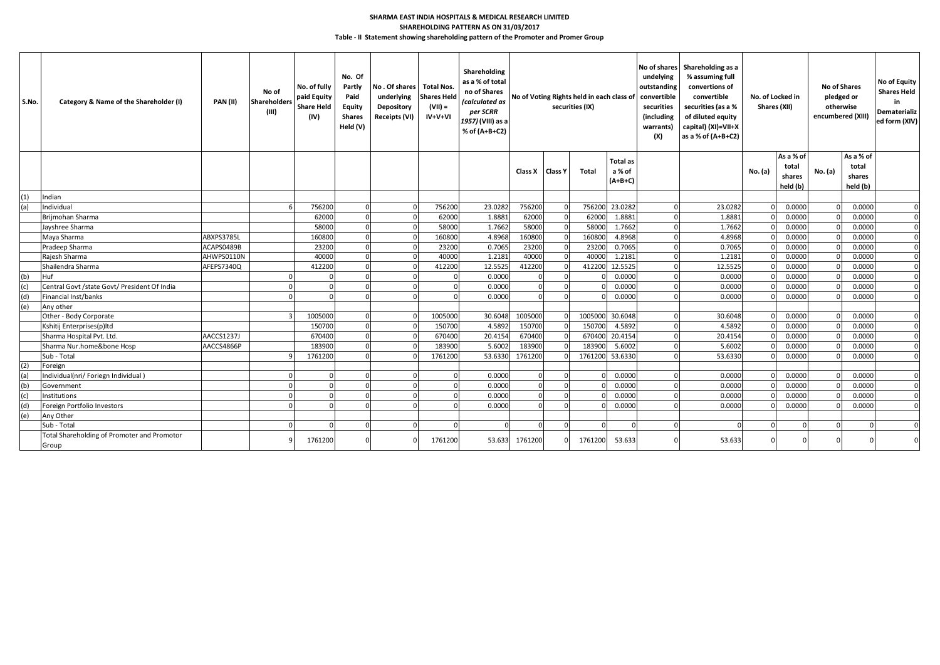## **SHAREHOLDING PATTERN AS ON 31/03/2017 SHARMA EAST INDIA HOSPITALS & MEDICAL RESEARCH LIMITED**

**Table - II Statement showing shareholding pattern of the Promoter and Promer Group**

| S.No. | Category & Name of the Shareholder (I)               | <b>PAN (II)</b> | No of<br><b>Shareholders</b><br>(III) | No. of fully<br>paid Equity<br><b>Share Held</b><br>(IV) | No. Of<br>Partly<br>Paid<br>Equity<br><b>Shares</b><br>Held (V) | No. Of shares   Total Nos.<br>underlying<br>Depository<br>Receipts (VI) | <b>Shares Held</b><br>$(VII) =$<br>$IV+V+VI$ | Shareholding<br>as a % of total<br>no of Shares<br>(calculated as<br>per SCRR<br>1957) (VIII) as a<br>% of (A+B+C2) | No of Voting Rights held in each class of<br>securities (IX) |  |                 |                 |  |         |         |                 |         |                    |          |  | undelying<br>outstanding<br>convertible<br>securities<br>(including<br>warrants)<br>(X) | No of shares Shareholding as a<br>% assuming full<br>convertions of<br>convertible<br>securities (as a %<br>of diluted equity<br>capital) (XI)=VII+X<br>as a % of (A+B+C2) | No. of Locked in<br>Shares (XII) |  | No of Shares<br>pledged or<br>otherwise<br>encumbered (XIII) |  | No of Equity<br><b>Shares Held</b><br>in<br>Dematerializ<br>ed form (XIV) |
|-------|------------------------------------------------------|-----------------|---------------------------------------|----------------------------------------------------------|-----------------------------------------------------------------|-------------------------------------------------------------------------|----------------------------------------------|---------------------------------------------------------------------------------------------------------------------|--------------------------------------------------------------|--|-----------------|-----------------|--|---------|---------|-----------------|---------|--------------------|----------|--|-----------------------------------------------------------------------------------------|----------------------------------------------------------------------------------------------------------------------------------------------------------------------------|----------------------------------|--|--------------------------------------------------------------|--|---------------------------------------------------------------------------|
|       |                                                      |                 |                                       |                                                          |                                                                 |                                                                         |                                              |                                                                                                                     |                                                              |  |                 | <b>Total as</b> |  |         |         | As a % of       |         | As a % of<br>total |          |  |                                                                                         |                                                                                                                                                                            |                                  |  |                                                              |  |                                                                           |
|       |                                                      |                 |                                       |                                                          |                                                                 |                                                                         |                                              |                                                                                                                     | Class X Class Y                                              |  | <b>Total</b>    | a % of          |  |         | No. (a) | total<br>shares | No. (a) | shares             |          |  |                                                                                         |                                                                                                                                                                            |                                  |  |                                                              |  |                                                                           |
|       |                                                      |                 |                                       |                                                          |                                                                 |                                                                         |                                              |                                                                                                                     |                                                              |  |                 | $(A+B+C)$       |  |         |         | held (b)        |         | held (b)           |          |  |                                                                                         |                                                                                                                                                                            |                                  |  |                                                              |  |                                                                           |
| (1)   | Indian                                               |                 |                                       |                                                          |                                                                 |                                                                         |                                              |                                                                                                                     |                                                              |  |                 |                 |  |         |         |                 |         |                    |          |  |                                                                                         |                                                                                                                                                                            |                                  |  |                                                              |  |                                                                           |
| (a)   | Individual                                           |                 |                                       | 756200                                                   |                                                                 |                                                                         | 756200                                       | 23.0282                                                                                                             | 756200                                                       |  |                 | 756200 23.0282  |  | 23.0282 |         | 0.0000          |         | 0.0000             |          |  |                                                                                         |                                                                                                                                                                            |                                  |  |                                                              |  |                                                                           |
|       | Brijmohan Sharma                                     |                 |                                       | 62000                                                    |                                                                 |                                                                         | 62000                                        | 1.8881                                                                                                              | 62000                                                        |  | 62000           | 1.8881          |  | 1.8881  |         | 0.0000          |         | 0.0000             |          |  |                                                                                         |                                                                                                                                                                            |                                  |  |                                                              |  |                                                                           |
|       | Jayshree Sharma                                      |                 |                                       | 58000                                                    |                                                                 |                                                                         | 58000                                        | 1.7662                                                                                                              | 58000                                                        |  | 5800            | 1.7662          |  | 1.7662  |         | 0.0000          |         | 0.0000             |          |  |                                                                                         |                                                                                                                                                                            |                                  |  |                                                              |  |                                                                           |
|       | Maya Sharma                                          | ABXPS3785L      |                                       | 160800                                                   |                                                                 |                                                                         | 160800                                       | 4.8968                                                                                                              | 160800                                                       |  | 160800          | 4.8968          |  | 4.8968  |         | 0.0000          |         | 0.0000             |          |  |                                                                                         |                                                                                                                                                                            |                                  |  |                                                              |  |                                                                           |
|       | Pradeep Sharma                                       | ACAPS0489B      |                                       | 23200                                                    |                                                                 |                                                                         | 23200                                        | 0.7065                                                                                                              | 23200                                                        |  | 23200           | 0.706           |  | 0.7065  |         | 0.0000          |         | 0.0000             |          |  |                                                                                         |                                                                                                                                                                            |                                  |  |                                                              |  |                                                                           |
|       | Raiesh Sharma                                        | AHWPS0110N      |                                       | 40000                                                    |                                                                 |                                                                         | 40000                                        | 1.2182                                                                                                              | 40000                                                        |  | 4000            | 1.2181          |  | 1.2181  |         | 0.0000          |         | 0.0000             |          |  |                                                                                         |                                                                                                                                                                            |                                  |  |                                                              |  |                                                                           |
|       | Shailendra Sharma                                    | AFEPS7340Q      |                                       | 412200                                                   |                                                                 |                                                                         | 412200                                       | 12.5525                                                                                                             | 412200                                                       |  | 412200          | 12.5525         |  | 12.5525 |         | 0.0000          |         | 0.0000             |          |  |                                                                                         |                                                                                                                                                                            |                                  |  |                                                              |  |                                                                           |
| (b)   | Huf                                                  |                 |                                       |                                                          |                                                                 |                                                                         | $\Omega$                                     | 0.0000                                                                                                              | $\Omega$                                                     |  |                 | 0.0000          |  | 0.0000  |         | 0.0000          |         | 0.0000             |          |  |                                                                                         |                                                                                                                                                                            |                                  |  |                                                              |  |                                                                           |
| (c)   | Central Govt /state Govt/ President Of India         |                 |                                       |                                                          |                                                                 |                                                                         | $\Omega$                                     | 0.0000                                                                                                              | $\Omega$                                                     |  |                 | 0.000           |  | 0.0000  |         | 0.0000          |         | 0.0000             |          |  |                                                                                         |                                                                                                                                                                            |                                  |  |                                                              |  |                                                                           |
| (d)   | Financial Inst/banks                                 |                 |                                       |                                                          |                                                                 |                                                                         | $\cap$                                       | 0.0000                                                                                                              |                                                              |  |                 | 0.000           |  | 0.0000  |         | 0.0000          |         | 0.0000             |          |  |                                                                                         |                                                                                                                                                                            |                                  |  |                                                              |  |                                                                           |
| (e)   | Any other                                            |                 |                                       |                                                          |                                                                 |                                                                         |                                              |                                                                                                                     |                                                              |  |                 |                 |  |         |         |                 |         |                    |          |  |                                                                                         |                                                                                                                                                                            |                                  |  |                                                              |  |                                                                           |
|       | Other - Body Corporate                               |                 |                                       | 1005000                                                  |                                                                 |                                                                         | 1005000                                      | 30.6048                                                                                                             | 1005000                                                      |  | 1005000 30.6048 |                 |  | 30.6048 |         | 0.0000          |         | 0.0000             |          |  |                                                                                         |                                                                                                                                                                            |                                  |  |                                                              |  |                                                                           |
|       | Kshitij Enterprises(p)ltd                            |                 |                                       | 150700                                                   |                                                                 |                                                                         | 150700                                       | 4.5892                                                                                                              | 150700                                                       |  | 15070           | 4.5892          |  | 4.5892  |         | 0.0000          |         | 0.0000             |          |  |                                                                                         |                                                                                                                                                                            |                                  |  |                                                              |  |                                                                           |
|       | Sharma Hospital Pvt. Ltd.                            | AACCS1237J      |                                       | 670400                                                   |                                                                 |                                                                         | 670400                                       | 20.4154                                                                                                             | 670400                                                       |  | 67040           | 20.4154         |  | 20.4154 |         | 0.0000          |         | 0.0000             |          |  |                                                                                         |                                                                                                                                                                            |                                  |  |                                                              |  |                                                                           |
|       | Sharma Nur.home&bone Hosp                            | AACCS4866P      |                                       | 183900                                                   |                                                                 |                                                                         | 183900                                       | 5.6002                                                                                                              | 183900                                                       |  | 183900          | 5.6002          |  | 5.6002  |         | 0.0000          |         | 0.0000             |          |  |                                                                                         |                                                                                                                                                                            |                                  |  |                                                              |  |                                                                           |
|       | Sub - Total                                          |                 |                                       | 1761200                                                  |                                                                 |                                                                         | 1761200                                      | 53.6330                                                                                                             | 1761200                                                      |  | 1761200 53.6330 |                 |  | 53.6330 |         | 0.0000          |         | 0.0000             |          |  |                                                                                         |                                                                                                                                                                            |                                  |  |                                                              |  |                                                                           |
| (2)   | Foreign                                              |                 |                                       |                                                          |                                                                 |                                                                         |                                              |                                                                                                                     |                                                              |  |                 |                 |  |         |         |                 |         |                    |          |  |                                                                                         |                                                                                                                                                                            |                                  |  |                                                              |  |                                                                           |
| (a)   | Individual(nri/ Foriegn Individual)                  |                 |                                       |                                                          |                                                                 |                                                                         | $\Omega$                                     | 0.0000                                                                                                              | $\Omega$                                                     |  |                 | 0.0000          |  | 0.0000  |         | 0.0000          |         | 0.0000             |          |  |                                                                                         |                                                                                                                                                                            |                                  |  |                                                              |  |                                                                           |
| (b)   | Government                                           |                 |                                       |                                                          |                                                                 |                                                                         | $\Omega$                                     | 0.0000                                                                                                              | $\Omega$                                                     |  |                 | 0.000           |  | 0.0000  |         | 0.0000          |         | 0.0000             | $\Omega$ |  |                                                                                         |                                                                                                                                                                            |                                  |  |                                                              |  |                                                                           |
| (c)   | Institutions                                         |                 |                                       |                                                          |                                                                 |                                                                         | $\Omega$                                     | 0.0000                                                                                                              | $\Omega$                                                     |  |                 | 0.000           |  | 0.0000  |         | 0.0000          |         | 0.0000             |          |  |                                                                                         |                                                                                                                                                                            |                                  |  |                                                              |  |                                                                           |
| (d)   | Foreign Portfolio Investors                          |                 |                                       |                                                          |                                                                 |                                                                         |                                              | 0.0000                                                                                                              |                                                              |  |                 | 0.000           |  | 0.0000  |         | 0.0000          |         | 0.0000             |          |  |                                                                                         |                                                                                                                                                                            |                                  |  |                                                              |  |                                                                           |
| (e)   | Any Other                                            |                 |                                       |                                                          |                                                                 |                                                                         |                                              |                                                                                                                     |                                                              |  |                 |                 |  |         |         |                 |         |                    |          |  |                                                                                         |                                                                                                                                                                            |                                  |  |                                                              |  |                                                                           |
|       | Sub - Total                                          |                 |                                       |                                                          |                                                                 |                                                                         | C                                            |                                                                                                                     | $\Omega$                                                     |  |                 |                 |  |         |         |                 |         |                    |          |  |                                                                                         |                                                                                                                                                                            |                                  |  |                                                              |  |                                                                           |
|       | Total Shareholding of Promoter and Promotor<br>Group |                 |                                       | 1761200                                                  |                                                                 |                                                                         | 1761200                                      | 53.633                                                                                                              | 1761200                                                      |  | 1761200         | 53.633          |  | 53.633  |         |                 |         |                    |          |  |                                                                                         |                                                                                                                                                                            |                                  |  |                                                              |  |                                                                           |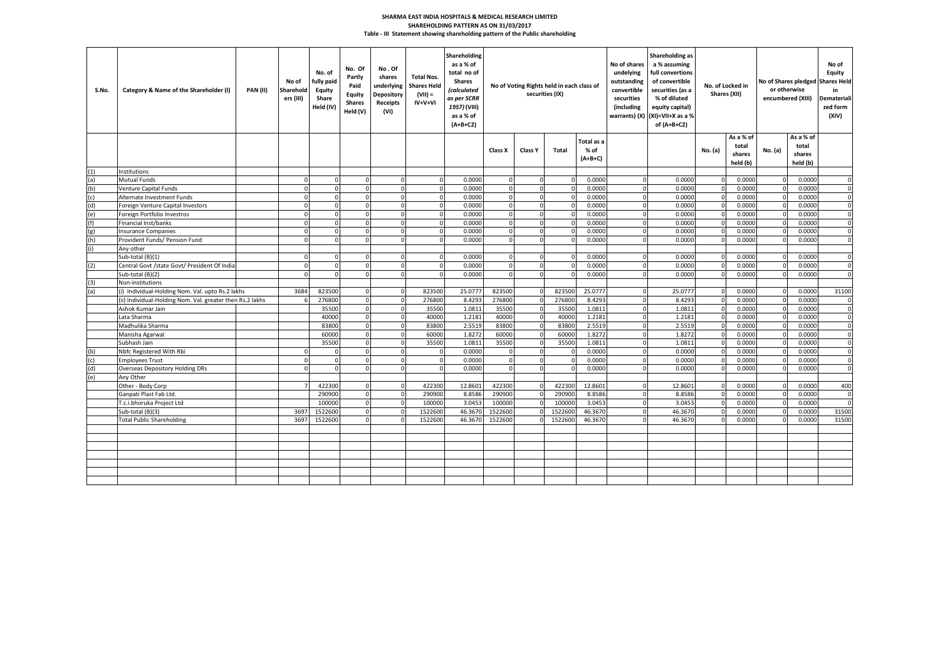#### **Table - III Statement showing shareholding pattern of the Public shareholding SHARMA EAST INDIA HOSPITALS & MEDICAL RESEARCH LIMITED SHAREHOLDING PATTERN AS ON 31/03/2017**

| S.No. | Category & Name of the Shareholder (I)                   | <b>PAN (II)</b> | No of<br>Sharehold<br>ers (III) | No. of<br>fully paid<br>Equity<br>Share<br>Held (IV) | No. Of<br>Partly<br>Paid<br>Equity<br><b>Shares</b><br>Held (V) | No.Of<br>shares<br>underlying<br>Depository<br><b>Receipts</b><br>(VI) | <b>Total Nos.</b><br><b>Shares Held</b><br>$(VII) =$<br>$IV+V+VI$ | Shareholding<br>as a % of<br>total no of<br><b>Shares</b><br><b>Calculated</b><br>as per SCRR<br>1957) (VIII)<br>as a % of<br>$(A+B+C2)$ | No of Voting Rights held in each class of<br>securities (IX) |                |              |                                 |          |         |         |                                          |         |                                          |              |  |  |  |  |  |  |  |  |  |  |  |  |  |  |  |  |  |  | No of shares<br>undelying<br>outstanding<br>convertible<br>securities<br>(including | Shareholding as<br>a % assuming<br>full convertions<br>of convertible<br>securities (as a<br>% of diluted<br>equity capital)<br>warrants) (X) (XI)=VII+X as a %<br>of $(A+B+C2)$ |  | No. of Locked in<br>Shares (XII) |  | or otherwise<br>encumbered (XIII) | No of<br>Equity<br>No of Shares pledged Shares Held<br>in<br>Demateriali<br>zed form<br>(XIV) |
|-------|----------------------------------------------------------|-----------------|---------------------------------|------------------------------------------------------|-----------------------------------------------------------------|------------------------------------------------------------------------|-------------------------------------------------------------------|------------------------------------------------------------------------------------------------------------------------------------------|--------------------------------------------------------------|----------------|--------------|---------------------------------|----------|---------|---------|------------------------------------------|---------|------------------------------------------|--------------|--|--|--|--|--|--|--|--|--|--|--|--|--|--|--|--|--|--|-------------------------------------------------------------------------------------|----------------------------------------------------------------------------------------------------------------------------------------------------------------------------------|--|----------------------------------|--|-----------------------------------|-----------------------------------------------------------------------------------------------|
|       |                                                          |                 |                                 |                                                      |                                                                 |                                                                        |                                                                   |                                                                                                                                          | Class X                                                      | <b>Class Y</b> | Total        | Total as a<br>% of<br>$(A+B+C)$ |          |         | No. (a) | As a % of<br>total<br>shares<br>held (b) | No. (a) | As a % of<br>total<br>shares<br>held (b) |              |  |  |  |  |  |  |  |  |  |  |  |  |  |  |  |  |  |  |                                                                                     |                                                                                                                                                                                  |  |                                  |  |                                   |                                                                                               |
| (1)   | nstitutions                                              |                 |                                 |                                                      |                                                                 |                                                                        |                                                                   |                                                                                                                                          |                                                              |                |              |                                 |          |         |         |                                          |         |                                          |              |  |  |  |  |  |  |  |  |  |  |  |  |  |  |  |  |  |  |                                                                                     |                                                                                                                                                                                  |  |                                  |  |                                   |                                                                                               |
| a)    | Mutual Funds                                             |                 |                                 | $\Omega$                                             | $\Omega$                                                        |                                                                        |                                                                   | 0.0000                                                                                                                                   |                                                              |                | $\Omega$     | 0.0000                          |          | 0.0000  |         | 0.000                                    |         | 0.0000                                   | $\Omega$     |  |  |  |  |  |  |  |  |  |  |  |  |  |  |  |  |  |  |                                                                                     |                                                                                                                                                                                  |  |                                  |  |                                   |                                                                                               |
| (b)   | Venture Capital Funds                                    |                 |                                 | $\Omega$                                             | $\Omega$                                                        |                                                                        |                                                                   | 0.0000                                                                                                                                   |                                                              |                | $\Omega$     | 0.0000                          |          | 0.0000  |         | 0.0000                                   |         | 0.0000                                   | $\Omega$     |  |  |  |  |  |  |  |  |  |  |  |  |  |  |  |  |  |  |                                                                                     |                                                                                                                                                                                  |  |                                  |  |                                   |                                                                                               |
| (c)   | Alternate Investment Funds                               |                 |                                 | $\Omega$                                             | n                                                               |                                                                        |                                                                   | 0.0000                                                                                                                                   |                                                              |                | $\Omega$     | 0.0000                          |          | 0.0000  |         | 0.0000                                   |         | 0.0000                                   | $\mathbf 0$  |  |  |  |  |  |  |  |  |  |  |  |  |  |  |  |  |  |  |                                                                                     |                                                                                                                                                                                  |  |                                  |  |                                   |                                                                                               |
| (d)   | Foreign Venture Capital Investors                        |                 |                                 | $\Omega$                                             | $\Omega$                                                        |                                                                        |                                                                   | 0.0000                                                                                                                                   |                                                              | $\Omega$       | $\Omega$     | 0.0000                          |          | 0.0000  |         | 0.000                                    |         | 0.0000                                   | $\Omega$     |  |  |  |  |  |  |  |  |  |  |  |  |  |  |  |  |  |  |                                                                                     |                                                                                                                                                                                  |  |                                  |  |                                   |                                                                                               |
| (e)   | Foreign Portfolio Investros                              |                 |                                 | $\Omega$                                             | $\Omega$                                                        |                                                                        | $\Omega$                                                          | 0.0000                                                                                                                                   |                                                              | $\Omega$       | $\Omega$     | 0.0000                          |          | 0.0000  |         | 0.000                                    |         | 0.0000                                   | $\Omega$     |  |  |  |  |  |  |  |  |  |  |  |  |  |  |  |  |  |  |                                                                                     |                                                                                                                                                                                  |  |                                  |  |                                   |                                                                                               |
| (f)   | <b>Financial Inst/banks</b>                              |                 |                                 | $\Omega$                                             | $\Omega$                                                        |                                                                        | $\Omega$                                                          | 0.0000                                                                                                                                   |                                                              | $\Omega$       | $\Omega$     | 0.0000                          | O        | 0.0000  |         | 0.0000                                   |         | 0.0000                                   | $\Omega$     |  |  |  |  |  |  |  |  |  |  |  |  |  |  |  |  |  |  |                                                                                     |                                                                                                                                                                                  |  |                                  |  |                                   |                                                                                               |
| (g)   | <b>Insurance Companies</b>                               |                 | n                               | $\overline{0}$                                       | $\Omega$                                                        | $\Omega$                                                               | $\overline{0}$                                                    | 0.0000                                                                                                                                   | $\Omega$                                                     | $\overline{0}$ | $\Omega$     | 0.0000                          | $\Omega$ | 0.0000  |         | 0.0000                                   |         | 0.0000                                   | $\mathbf 0$  |  |  |  |  |  |  |  |  |  |  |  |  |  |  |  |  |  |  |                                                                                     |                                                                                                                                                                                  |  |                                  |  |                                   |                                                                                               |
| (h)   | Provident Funds/ Pension Fund                            |                 |                                 | $\overline{0}$                                       | $\Omega$                                                        | $\Omega$                                                               | $\Omega$                                                          | 0.0000                                                                                                                                   | $\Omega$                                                     | $\Omega$       | $\Omega$     | 0.0000                          | $\Omega$ | 0.0000  |         | 0.0000                                   |         | 0.0000                                   | $\mathbf{0}$ |  |  |  |  |  |  |  |  |  |  |  |  |  |  |  |  |  |  |                                                                                     |                                                                                                                                                                                  |  |                                  |  |                                   |                                                                                               |
|       | Any other                                                |                 |                                 |                                                      |                                                                 |                                                                        |                                                                   |                                                                                                                                          |                                                              |                |              |                                 |          |         |         |                                          |         |                                          |              |  |  |  |  |  |  |  |  |  |  |  |  |  |  |  |  |  |  |                                                                                     |                                                                                                                                                                                  |  |                                  |  |                                   |                                                                                               |
|       | Sub-total (B)(1)                                         |                 |                                 | $\Omega$                                             |                                                                 |                                                                        | $\Omega$                                                          | 0.0000                                                                                                                                   |                                                              |                | $\Omega$     | 0.0000                          |          | 0.0000  |         | 0.0000                                   |         | 0.0000                                   | $\Omega$     |  |  |  |  |  |  |  |  |  |  |  |  |  |  |  |  |  |  |                                                                                     |                                                                                                                                                                                  |  |                                  |  |                                   |                                                                                               |
| 2)    | Central Govt /state Govt/ President Of India             |                 |                                 | $\Omega$                                             |                                                                 |                                                                        |                                                                   | 0.0000                                                                                                                                   |                                                              |                | $\Omega$     | 0.0000                          |          | 0.0000  |         | 0.0000                                   |         | 0.0000                                   | $\Omega$     |  |  |  |  |  |  |  |  |  |  |  |  |  |  |  |  |  |  |                                                                                     |                                                                                                                                                                                  |  |                                  |  |                                   |                                                                                               |
|       | Sub-total (B)(2)                                         |                 |                                 | $\Omega$                                             |                                                                 |                                                                        |                                                                   | 0.0000                                                                                                                                   |                                                              |                |              | 0.0000                          |          | 0.0000  |         | 0.0000                                   |         | 0.0000                                   |              |  |  |  |  |  |  |  |  |  |  |  |  |  |  |  |  |  |  |                                                                                     |                                                                                                                                                                                  |  |                                  |  |                                   |                                                                                               |
|       | Non-institutions                                         |                 |                                 |                                                      |                                                                 |                                                                        |                                                                   |                                                                                                                                          |                                                              |                |              |                                 |          |         |         |                                          |         |                                          |              |  |  |  |  |  |  |  |  |  |  |  |  |  |  |  |  |  |  |                                                                                     |                                                                                                                                                                                  |  |                                  |  |                                   |                                                                                               |
|       | i) Individual-Holding Nom. Val. upto Rs.2 lakhs          |                 | 3684                            | 823500                                               |                                                                 |                                                                        | 823500                                                            | 25.0777                                                                                                                                  | 823500                                                       |                | 823500       | 25.0777                         |          | 25.0777 |         | 0.000                                    |         | 0.0000                                   | 31100        |  |  |  |  |  |  |  |  |  |  |  |  |  |  |  |  |  |  |                                                                                     |                                                                                                                                                                                  |  |                                  |  |                                   |                                                                                               |
|       | ii) Individual-Holding Nom. Val. greater then Rs.2 lakhs |                 |                                 | 276800                                               | $\Omega$                                                        |                                                                        | 276800                                                            | 8.4293                                                                                                                                   | 276800                                                       |                | 276800       | 8.4293                          |          | 8.4293  |         | 0.000                                    |         | 0.0000                                   | $\mathbf{0}$ |  |  |  |  |  |  |  |  |  |  |  |  |  |  |  |  |  |  |                                                                                     |                                                                                                                                                                                  |  |                                  |  |                                   |                                                                                               |
|       | Ashok Kumar Jain                                         |                 |                                 | 35500                                                | $\Omega$                                                        | $\Omega$                                                               | 35500                                                             | 1.081                                                                                                                                    | 35500                                                        | $\Omega$       | 35500        | 1.0811                          |          | 1.0811  |         | 0.000                                    |         | 0.0000                                   | $\mathbf 0$  |  |  |  |  |  |  |  |  |  |  |  |  |  |  |  |  |  |  |                                                                                     |                                                                                                                                                                                  |  |                                  |  |                                   |                                                                                               |
|       | Lata Sharma                                              |                 |                                 | 40000                                                | $\Omega$                                                        | $\Omega$                                                               | 40000                                                             | 1.2181                                                                                                                                   | 40000                                                        | $\Omega$       | 40000        | 1.2181                          |          | 1.2181  |         | 0.0000                                   |         | 0.0000                                   | $\Omega$     |  |  |  |  |  |  |  |  |  |  |  |  |  |  |  |  |  |  |                                                                                     |                                                                                                                                                                                  |  |                                  |  |                                   |                                                                                               |
|       | Madhulika Sharma                                         |                 |                                 | 83800                                                | $\Omega$                                                        | $\Omega$                                                               | 83800                                                             | 2.5519                                                                                                                                   | 83800                                                        | $\Omega$       | 83800        | 2.5519                          | n        | 2.5519  |         | 0.0000                                   |         | 0.0000                                   | $\Omega$     |  |  |  |  |  |  |  |  |  |  |  |  |  |  |  |  |  |  |                                                                                     |                                                                                                                                                                                  |  |                                  |  |                                   |                                                                                               |
|       | Manisha Agarwal                                          |                 |                                 | 60000                                                | $\Omega$                                                        | $\Omega$                                                               | 60000                                                             | 1.8272                                                                                                                                   | 60000                                                        | $\Omega$       | 60000        | 1.8272                          | $\Omega$ | 1.8272  |         | 0.0000                                   |         | 0.0000                                   | $\Omega$     |  |  |  |  |  |  |  |  |  |  |  |  |  |  |  |  |  |  |                                                                                     |                                                                                                                                                                                  |  |                                  |  |                                   |                                                                                               |
|       | Subhash Jain                                             |                 |                                 | 35500                                                | $\Omega$                                                        | $\Omega$                                                               | 35500                                                             | 1.081                                                                                                                                    | 35500                                                        | $\Omega$       | 35500        | 1.0811                          | O        | 1.0811  |         | 0.000                                    |         | 0.0000                                   | $\Omega$     |  |  |  |  |  |  |  |  |  |  |  |  |  |  |  |  |  |  |                                                                                     |                                                                                                                                                                                  |  |                                  |  |                                   |                                                                                               |
| (b)   | Nbfc Registered With Rbi                                 |                 |                                 | $\Omega$                                             | <sup>n</sup>                                                    | $\Omega$                                                               | - 0                                                               | 0.0000                                                                                                                                   |                                                              | $\Omega$       | $\Omega$     | 0.0000                          | 0        | 0.0000  |         | 0.0000                                   |         | 0.0000                                   | $\Omega$     |  |  |  |  |  |  |  |  |  |  |  |  |  |  |  |  |  |  |                                                                                     |                                                                                                                                                                                  |  |                                  |  |                                   |                                                                                               |
| (c)   | <b>Employees Trust</b>                                   |                 | n                               | $\overline{0}$                                       | $\Omega$                                                        | $\mathbf{0}$                                                           | $\overline{0}$                                                    | 0.0000                                                                                                                                   | $\Omega$                                                     | $\Omega$       | $\mathbf{0}$ | 0.0000                          | $\Omega$ | 0.0000  |         | 0.0000                                   |         | 0.0000                                   | $\mathbf 0$  |  |  |  |  |  |  |  |  |  |  |  |  |  |  |  |  |  |  |                                                                                     |                                                                                                                                                                                  |  |                                  |  |                                   |                                                                                               |
| (d)   | <b>Overseas Depository Holding DRs</b>                   |                 |                                 | $\Omega$                                             |                                                                 |                                                                        |                                                                   | 0.0000                                                                                                                                   |                                                              |                | $\Omega$     | 0.0000                          |          | 0.0000  |         | 0.0000                                   |         | 0.0000                                   | $\Omega$     |  |  |  |  |  |  |  |  |  |  |  |  |  |  |  |  |  |  |                                                                                     |                                                                                                                                                                                  |  |                                  |  |                                   |                                                                                               |
| e)    | Any Other                                                |                 |                                 |                                                      |                                                                 |                                                                        |                                                                   |                                                                                                                                          |                                                              |                |              |                                 |          |         |         |                                          |         |                                          |              |  |  |  |  |  |  |  |  |  |  |  |  |  |  |  |  |  |  |                                                                                     |                                                                                                                                                                                  |  |                                  |  |                                   |                                                                                               |
|       | Other - Body Corp                                        |                 |                                 | 422300                                               |                                                                 |                                                                        | 422300                                                            | 12.8601                                                                                                                                  | 422300                                                       |                | 422300       | 12.8601                         |          | 12.8601 |         | 0.0000                                   |         | 0.0000                                   | 400          |  |  |  |  |  |  |  |  |  |  |  |  |  |  |  |  |  |  |                                                                                     |                                                                                                                                                                                  |  |                                  |  |                                   |                                                                                               |
|       | Ganpati Plast Fab Ltd.                                   |                 |                                 | 290900                                               |                                                                 |                                                                        | 290900                                                            | 8.8586                                                                                                                                   | 290900                                                       |                | 290900       | 8.8586                          |          | 8.8586  |         | 0.000                                    |         | 0.0000                                   | $\Omega$     |  |  |  |  |  |  |  |  |  |  |  |  |  |  |  |  |  |  |                                                                                     |                                                                                                                                                                                  |  |                                  |  |                                   |                                                                                               |
|       | T.c.i.bhoruka Project Ltd                                |                 |                                 | 100000                                               | $\Omega$                                                        |                                                                        | 100000                                                            | 3.045                                                                                                                                    | 10000                                                        |                | 100000       | 3.0453                          |          | 3.0453  |         | 0.000                                    |         | 0.0000                                   | $\Omega$     |  |  |  |  |  |  |  |  |  |  |  |  |  |  |  |  |  |  |                                                                                     |                                                                                                                                                                                  |  |                                  |  |                                   |                                                                                               |
|       | Sub-total (B)(3)                                         |                 | 3697                            | 1522600                                              | $\Omega$                                                        |                                                                        | 1522600                                                           | 46.367                                                                                                                                   | 1522600                                                      |                | 1522600      | 46.3670                         |          | 46.3670 |         | 0.000                                    |         | 0.0000                                   | 31500        |  |  |  |  |  |  |  |  |  |  |  |  |  |  |  |  |  |  |                                                                                     |                                                                                                                                                                                  |  |                                  |  |                                   |                                                                                               |
|       | <b>Total Public Shareholding</b>                         |                 | 3697                            | 1522600                                              | n                                                               |                                                                        | 1522600                                                           | 46.3670                                                                                                                                  | 1522600                                                      |                | 1522600      | 46.3670                         |          | 46.3670 |         | 0.0000                                   |         | 0.0000                                   | 31500        |  |  |  |  |  |  |  |  |  |  |  |  |  |  |  |  |  |  |                                                                                     |                                                                                                                                                                                  |  |                                  |  |                                   |                                                                                               |
|       |                                                          |                 |                                 |                                                      |                                                                 |                                                                        |                                                                   |                                                                                                                                          |                                                              |                |              |                                 |          |         |         |                                          |         |                                          |              |  |  |  |  |  |  |  |  |  |  |  |  |  |  |  |  |  |  |                                                                                     |                                                                                                                                                                                  |  |                                  |  |                                   |                                                                                               |
|       |                                                          |                 |                                 |                                                      |                                                                 |                                                                        |                                                                   |                                                                                                                                          |                                                              |                |              |                                 |          |         |         |                                          |         |                                          |              |  |  |  |  |  |  |  |  |  |  |  |  |  |  |  |  |  |  |                                                                                     |                                                                                                                                                                                  |  |                                  |  |                                   |                                                                                               |
|       |                                                          |                 |                                 |                                                      |                                                                 |                                                                        |                                                                   |                                                                                                                                          |                                                              |                |              |                                 |          |         |         |                                          |         |                                          |              |  |  |  |  |  |  |  |  |  |  |  |  |  |  |  |  |  |  |                                                                                     |                                                                                                                                                                                  |  |                                  |  |                                   |                                                                                               |
|       |                                                          |                 |                                 |                                                      |                                                                 |                                                                        |                                                                   |                                                                                                                                          |                                                              |                |              |                                 |          |         |         |                                          |         |                                          |              |  |  |  |  |  |  |  |  |  |  |  |  |  |  |  |  |  |  |                                                                                     |                                                                                                                                                                                  |  |                                  |  |                                   |                                                                                               |
|       |                                                          |                 |                                 |                                                      |                                                                 |                                                                        |                                                                   |                                                                                                                                          |                                                              |                |              |                                 |          |         |         |                                          |         |                                          |              |  |  |  |  |  |  |  |  |  |  |  |  |  |  |  |  |  |  |                                                                                     |                                                                                                                                                                                  |  |                                  |  |                                   |                                                                                               |
|       |                                                          |                 |                                 |                                                      |                                                                 |                                                                        |                                                                   |                                                                                                                                          |                                                              |                |              |                                 |          |         |         |                                          |         |                                          |              |  |  |  |  |  |  |  |  |  |  |  |  |  |  |  |  |  |  |                                                                                     |                                                                                                                                                                                  |  |                                  |  |                                   |                                                                                               |
|       |                                                          |                 |                                 |                                                      |                                                                 |                                                                        |                                                                   |                                                                                                                                          |                                                              |                |              |                                 |          |         |         |                                          |         |                                          |              |  |  |  |  |  |  |  |  |  |  |  |  |  |  |  |  |  |  |                                                                                     |                                                                                                                                                                                  |  |                                  |  |                                   |                                                                                               |